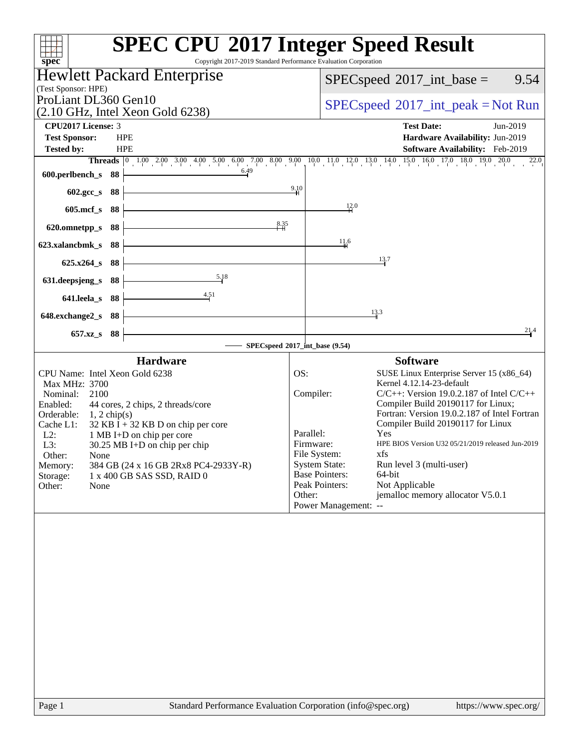| Copyright 2017-2019 Standard Performance Evaluation Corporation<br>$spec^*$                                                                                                                                                                                                                                                                                                                                                                  | <b>SPEC CPU®2017 Integer Speed Result</b>                                                                                                                                                                                                                                                                                                                                                                                                                                                                                                                                                              |
|----------------------------------------------------------------------------------------------------------------------------------------------------------------------------------------------------------------------------------------------------------------------------------------------------------------------------------------------------------------------------------------------------------------------------------------------|--------------------------------------------------------------------------------------------------------------------------------------------------------------------------------------------------------------------------------------------------------------------------------------------------------------------------------------------------------------------------------------------------------------------------------------------------------------------------------------------------------------------------------------------------------------------------------------------------------|
| Hewlett Packard Enterprise                                                                                                                                                                                                                                                                                                                                                                                                                   | $SPEC speed^{\circ}2017\_int\_base =$<br>9.54                                                                                                                                                                                                                                                                                                                                                                                                                                                                                                                                                          |
| (Test Sponsor: HPE)<br>ProLiant DL360 Gen10                                                                                                                                                                                                                                                                                                                                                                                                  |                                                                                                                                                                                                                                                                                                                                                                                                                                                                                                                                                                                                        |
| $(2.10 \text{ GHz}, \text{Intel Xeon Gold } 6238)$                                                                                                                                                                                                                                                                                                                                                                                           | $SPEC speed^{\circ}2017\_int\_peak = Not Run$                                                                                                                                                                                                                                                                                                                                                                                                                                                                                                                                                          |
| CPU2017 License: 3                                                                                                                                                                                                                                                                                                                                                                                                                           | <b>Test Date:</b><br>Jun-2019                                                                                                                                                                                                                                                                                                                                                                                                                                                                                                                                                                          |
| <b>Test Sponsor:</b><br><b>HPE</b><br><b>Tested by:</b><br><b>HPE</b>                                                                                                                                                                                                                                                                                                                                                                        | Hardware Availability: Jun-2019<br>Software Availability: Feb-2019                                                                                                                                                                                                                                                                                                                                                                                                                                                                                                                                     |
|                                                                                                                                                                                                                                                                                                                                                                                                                                              | <b>Threads</b> 0 1.00 2.00 3.00 4.00 5.00 6.00 7.00 8.00 9.00 10.0 11.0 12.0 13.0 14.0 15.0 16.0 17.0 18.0 19.0 20.0<br>22.0                                                                                                                                                                                                                                                                                                                                                                                                                                                                           |
| 6.49<br>600.perlbench_s<br>- 88                                                                                                                                                                                                                                                                                                                                                                                                              |                                                                                                                                                                                                                                                                                                                                                                                                                                                                                                                                                                                                        |
| 88<br>602.gcc_s                                                                                                                                                                                                                                                                                                                                                                                                                              | 9.10                                                                                                                                                                                                                                                                                                                                                                                                                                                                                                                                                                                                   |
| $605$ .mcf_s<br>- 88                                                                                                                                                                                                                                                                                                                                                                                                                         | 12.0                                                                                                                                                                                                                                                                                                                                                                                                                                                                                                                                                                                                   |
| 8.35<br>88<br>620.omnetpp_s                                                                                                                                                                                                                                                                                                                                                                                                                  |                                                                                                                                                                                                                                                                                                                                                                                                                                                                                                                                                                                                        |
| 88<br>623.xalancbmk_s                                                                                                                                                                                                                                                                                                                                                                                                                        | 11.6                                                                                                                                                                                                                                                                                                                                                                                                                                                                                                                                                                                                   |
| 625.x264_s 88                                                                                                                                                                                                                                                                                                                                                                                                                                | 13.7                                                                                                                                                                                                                                                                                                                                                                                                                                                                                                                                                                                                   |
| 5.18<br>88<br>631.deepsjeng_s                                                                                                                                                                                                                                                                                                                                                                                                                |                                                                                                                                                                                                                                                                                                                                                                                                                                                                                                                                                                                                        |
| 4.51<br>641.leela_s<br>- 88                                                                                                                                                                                                                                                                                                                                                                                                                  |                                                                                                                                                                                                                                                                                                                                                                                                                                                                                                                                                                                                        |
| 648.exchange2_s<br>- 88                                                                                                                                                                                                                                                                                                                                                                                                                      | 13.3                                                                                                                                                                                                                                                                                                                                                                                                                                                                                                                                                                                                   |
| 88<br>$657.xz$ <sub>S</sub>                                                                                                                                                                                                                                                                                                                                                                                                                  | 21.4                                                                                                                                                                                                                                                                                                                                                                                                                                                                                                                                                                                                   |
|                                                                                                                                                                                                                                                                                                                                                                                                                                              | SPECspeed®2017_int_base (9.54)                                                                                                                                                                                                                                                                                                                                                                                                                                                                                                                                                                         |
| <b>Hardware</b><br>CPU Name: Intel Xeon Gold 6238<br>Max MHz: 3700<br>Nominal:<br>2100<br>Enabled:<br>44 cores, 2 chips, 2 threads/core<br>Orderable:<br>$1, 2$ chip(s)<br>$32$ KB I + 32 KB D on chip per core<br>Cache L1:<br>$L2$ :<br>1 MB I+D on chip per core<br>L3:<br>30.25 MB I+D on chip per chip<br>Other:<br>None<br>Memory:<br>384 GB (24 x 16 GB 2Rx8 PC4-2933Y-R)<br>Storage:<br>1 x 400 GB SAS SSD, RAID 0<br>Other:<br>None | <b>Software</b><br>OS:<br>SUSE Linux Enterprise Server 15 (x86_64)<br>Kernel 4.12.14-23-default<br>Compiler:<br>$C/C++$ : Version 19.0.2.187 of Intel $C/C++$<br>Compiler Build 20190117 for Linux;<br>Fortran: Version 19.0.2.187 of Intel Fortran<br>Compiler Build 20190117 for Linux<br>Parallel:<br>Yes<br>HPE BIOS Version U32 05/21/2019 released Jun-2019<br>Firmware:<br>File System:<br>xfs<br><b>System State:</b><br>Run level 3 (multi-user)<br><b>Base Pointers:</b><br>64-bit<br>Peak Pointers:<br>Not Applicable<br>jemalloc memory allocator V5.0.1<br>Other:<br>Power Management: -- |
| Page 1                                                                                                                                                                                                                                                                                                                                                                                                                                       | Standard Performance Evaluation Corporation (info@spec.org)<br>https://www.spec.org/                                                                                                                                                                                                                                                                                                                                                                                                                                                                                                                   |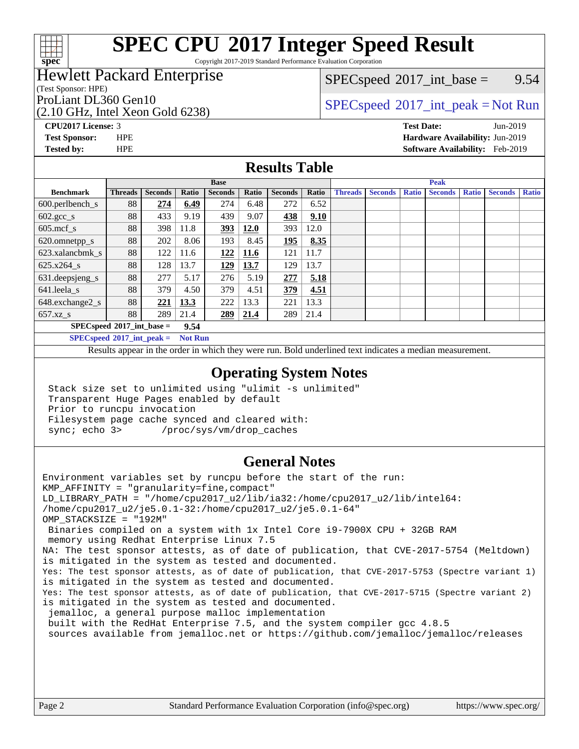

Copyright 2017-2019 Standard Performance Evaluation Corporation

## Hewlett Packard Enterprise

(Test Sponsor: HPE)

(2.10 GHz, Intel Xeon Gold 6238)

 $SPECspeed^{\circ}2017\_int\_base =$  $SPECspeed^{\circ}2017\_int\_base =$  9.54

# ProLiant DL360 Gen10<br>  $SPECspeed^{\circ}2017\_int\_peak = Not Run$  $SPECspeed^{\circ}2017\_int\_peak = Not Run$

**[CPU2017 License:](http://www.spec.org/auto/cpu2017/Docs/result-fields.html#CPU2017License)** 3 **[Test Date:](http://www.spec.org/auto/cpu2017/Docs/result-fields.html#TestDate)** Jun-2019

**[Test Sponsor:](http://www.spec.org/auto/cpu2017/Docs/result-fields.html#TestSponsor)** HPE **[Hardware Availability:](http://www.spec.org/auto/cpu2017/Docs/result-fields.html#HardwareAvailability)** Jun-2019 **[Tested by:](http://www.spec.org/auto/cpu2017/Docs/result-fields.html#Testedby)** HPE **[Software Availability:](http://www.spec.org/auto/cpu2017/Docs/result-fields.html#SoftwareAvailability)** Feb-2019

### **[Results Table](http://www.spec.org/auto/cpu2017/Docs/result-fields.html#ResultsTable)**

|                                     | <b>Base</b>    |                |       |                |       |                | <b>Peak</b> |                |                |              |                |              |                |              |
|-------------------------------------|----------------|----------------|-------|----------------|-------|----------------|-------------|----------------|----------------|--------------|----------------|--------------|----------------|--------------|
| <b>Benchmark</b>                    | <b>Threads</b> | <b>Seconds</b> | Ratio | <b>Seconds</b> | Ratio | <b>Seconds</b> | Ratio       | <b>Threads</b> | <b>Seconds</b> | <b>Ratio</b> | <b>Seconds</b> | <b>Ratio</b> | <b>Seconds</b> | <b>Ratio</b> |
| $600.$ perlbench_s                  | 88             | 274            | 6.49  | 274            | 6.48  | 272            | 6.52        |                |                |              |                |              |                |              |
| $602.\text{gcc}\sspace_s$           | 88             | 433            | 9.19  | 439            | 9.07  | 438            | 9.10        |                |                |              |                |              |                |              |
| $605$ .mcf s                        | 88             | 398            | 11.8  | 393            | 12.0  | 393            | 12.0        |                |                |              |                |              |                |              |
| 620.omnetpp_s                       | 88             | 202            | 8.06  | 193            | 8.45  | 195            | 8.35        |                |                |              |                |              |                |              |
| 623.xalancbmk s                     | 88             | 122            | 11.6  | 122            | 11.6  | 121            | 11.7        |                |                |              |                |              |                |              |
| 625.x264 s                          | 88             | 128            | 13.7  | 129            | 13.7  | 129            | 13.7        |                |                |              |                |              |                |              |
| 631.deepsjeng_s                     | 88             | 277            | 5.17  | 276            | 5.19  | 277            | 5.18        |                |                |              |                |              |                |              |
| $641$ .leela_s                      | 88             | 379            | 4.50  | 379            | 4.51  | 379            | 4.51        |                |                |              |                |              |                |              |
| 648.exchange2_s                     | 88             | 221            | 13.3  | 222            | 13.3  | 221            | 13.3        |                |                |              |                |              |                |              |
| $657.xz$ s                          | 88             | 289            | 21.4  | <u>289</u>     | 21.4  | 289            | 21.4        |                |                |              |                |              |                |              |
| $SPECspeed*2017$ int base =<br>9.54 |                |                |       |                |       |                |             |                |                |              |                |              |                |              |

**[SPECspeed](http://www.spec.org/auto/cpu2017/Docs/result-fields.html#SPECspeed2017intpeak)[2017\\_int\\_peak =](http://www.spec.org/auto/cpu2017/Docs/result-fields.html#SPECspeed2017intpeak) Not Run**

Results appear in the [order in which they were run.](http://www.spec.org/auto/cpu2017/Docs/result-fields.html#RunOrder) Bold underlined text [indicates a median measurement.](http://www.spec.org/auto/cpu2017/Docs/result-fields.html#Median)

### **[Operating System Notes](http://www.spec.org/auto/cpu2017/Docs/result-fields.html#OperatingSystemNotes)**

 Stack size set to unlimited using "ulimit -s unlimited" Transparent Huge Pages enabled by default Prior to runcpu invocation Filesystem page cache synced and cleared with: sync; echo 3> /proc/sys/vm/drop\_caches

### **[General Notes](http://www.spec.org/auto/cpu2017/Docs/result-fields.html#GeneralNotes)**

Environment variables set by runcpu before the start of the run: KMP\_AFFINITY = "granularity=fine,compact" LD\_LIBRARY\_PATH = "/home/cpu2017\_u2/lib/ia32:/home/cpu2017\_u2/lib/intel64: /home/cpu2017\_u2/je5.0.1-32:/home/cpu2017\_u2/je5.0.1-64" OMP\_STACKSIZE = "192M" Binaries compiled on a system with 1x Intel Core i9-7900X CPU + 32GB RAM memory using Redhat Enterprise Linux 7.5 NA: The test sponsor attests, as of date of publication, that CVE-2017-5754 (Meltdown) is mitigated in the system as tested and documented. Yes: The test sponsor attests, as of date of publication, that CVE-2017-5753 (Spectre variant 1) is mitigated in the system as tested and documented. Yes: The test sponsor attests, as of date of publication, that CVE-2017-5715 (Spectre variant 2) is mitigated in the system as tested and documented. jemalloc, a general purpose malloc implementation built with the RedHat Enterprise 7.5, and the system compiler gcc 4.8.5 sources available from jemalloc.net or<https://github.com/jemalloc/jemalloc/releases>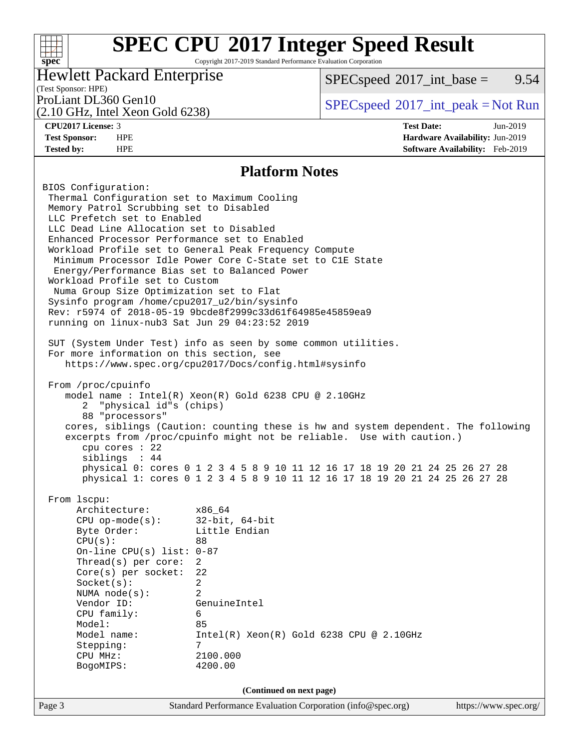### **[SPEC CPU](http://www.spec.org/auto/cpu2017/Docs/result-fields.html#SPECCPU2017IntegerSpeedResult)[2017 Integer Speed Result](http://www.spec.org/auto/cpu2017/Docs/result-fields.html#SPECCPU2017IntegerSpeedResult)** Copyright 2017-2019 Standard Performance Evaluation Corporation

Hewlett Packard Enterprise

 $SPECspeed^{\circ}2017\_int\_base =$  $SPECspeed^{\circ}2017\_int\_base =$  9.54

# (Test Sponsor: HPE)

(2.10 GHz, Intel Xeon Gold 6238)

**[spec](http://www.spec.org/)**

 $+\!\!+\!\!$ 

**[Tested by:](http://www.spec.org/auto/cpu2017/Docs/result-fields.html#Testedby)** HPE **[Software Availability:](http://www.spec.org/auto/cpu2017/Docs/result-fields.html#SoftwareAvailability)** Feb-2019

ProLiant DL360 Gen10  $SPEC speed^{\circ}2017\_int\_peak = Not Run$ 

**[CPU2017 License:](http://www.spec.org/auto/cpu2017/Docs/result-fields.html#CPU2017License)** 3 **[Test Date:](http://www.spec.org/auto/cpu2017/Docs/result-fields.html#TestDate)** Jun-2019 **[Test Sponsor:](http://www.spec.org/auto/cpu2017/Docs/result-fields.html#TestSponsor)** HPE **[Hardware Availability:](http://www.spec.org/auto/cpu2017/Docs/result-fields.html#HardwareAvailability)** Jun-2019

### **[Platform Notes](http://www.spec.org/auto/cpu2017/Docs/result-fields.html#PlatformNotes)**

Page 3 Standard Performance Evaluation Corporation [\(info@spec.org\)](mailto:info@spec.org) <https://www.spec.org/> BIOS Configuration: Thermal Configuration set to Maximum Cooling Memory Patrol Scrubbing set to Disabled LLC Prefetch set to Enabled LLC Dead Line Allocation set to Disabled Enhanced Processor Performance set to Enabled Workload Profile set to General Peak Frequency Compute Minimum Processor Idle Power Core C-State set to C1E State Energy/Performance Bias set to Balanced Power Workload Profile set to Custom Numa Group Size Optimization set to Flat Sysinfo program /home/cpu2017\_u2/bin/sysinfo Rev: r5974 of 2018-05-19 9bcde8f2999c33d61f64985e45859ea9 running on linux-nub3 Sat Jun 29 04:23:52 2019 SUT (System Under Test) info as seen by some common utilities. For more information on this section, see <https://www.spec.org/cpu2017/Docs/config.html#sysinfo> From /proc/cpuinfo model name : Intel(R) Xeon(R) Gold 6238 CPU @ 2.10GHz 2 "physical id"s (chips) 88 "processors" cores, siblings (Caution: counting these is hw and system dependent. The following excerpts from /proc/cpuinfo might not be reliable. Use with caution.) cpu cores : 22 siblings : 44 physical 0: cores 0 1 2 3 4 5 8 9 10 11 12 16 17 18 19 20 21 24 25 26 27 28 physical 1: cores 0 1 2 3 4 5 8 9 10 11 12 16 17 18 19 20 21 24 25 26 27 28 From lscpu: Architecture: x86\_64 CPU op-mode(s): 32-bit, 64-bit Byte Order: Little Endian  $CPU(s):$  88 On-line CPU(s) list: 0-87 Thread(s) per core: 2 Core(s) per socket: 22 Socket(s): 2 NUMA node(s): 2 Vendor ID: GenuineIntel CPU family: 6 Model: 85 Model name: Intel(R) Xeon(R) Gold 6238 CPU @ 2.10GHz Stepping: 7 CPU MHz: 2100.000 BogoMIPS: 4200.00 **(Continued on next page)**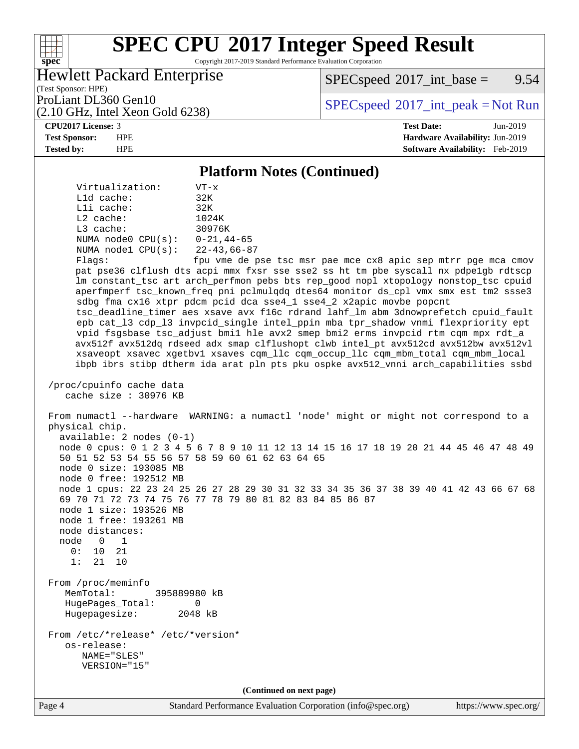Copyright 2017-2019 Standard Performance Evaluation Corporation

## Hewlett Packard Enterprise

 $SPECspeed^{\circ}2017\_int\_base =$  $SPECspeed^{\circ}2017\_int\_base =$  9.54

(Test Sponsor: HPE) (2.10 GHz, Intel Xeon Gold 6238)

ProLiant DL360 Gen10  $SPEC speed^{\circ}2017\_int\_peak = Not Run$ 

#### **[CPU2017 License:](http://www.spec.org/auto/cpu2017/Docs/result-fields.html#CPU2017License)** 3 **[Test Date:](http://www.spec.org/auto/cpu2017/Docs/result-fields.html#TestDate)** Jun-2019

**[spec](http://www.spec.org/)**

 $+\!\!+\!\!$ 

**[Test Sponsor:](http://www.spec.org/auto/cpu2017/Docs/result-fields.html#TestSponsor)** HPE **[Hardware Availability:](http://www.spec.org/auto/cpu2017/Docs/result-fields.html#HardwareAvailability)** Jun-2019 **[Tested by:](http://www.spec.org/auto/cpu2017/Docs/result-fields.html#Testedby)** HPE **[Software Availability:](http://www.spec.org/auto/cpu2017/Docs/result-fields.html#SoftwareAvailability)** Feb-2019

#### **[Platform Notes \(Continued\)](http://www.spec.org/auto/cpu2017/Docs/result-fields.html#PlatformNotes)**

 Virtualization: VT-x L1d cache: 32K L1i cache: 32K L2 cache: 1024K L3 cache: 30976K NUMA node0 CPU(s): 0-21,44-65 NUMA node1 CPU(s): 22-43,66-87 Flags: fpu vme de pse tsc msr pae mce cx8 apic sep mtrr pge mca cmov pat pse36 clflush dts acpi mmx fxsr sse sse2 ss ht tm pbe syscall nx pdpe1gb rdtscp lm constant\_tsc art arch\_perfmon pebs bts rep\_good nopl xtopology nonstop\_tsc cpuid aperfmperf tsc\_known\_freq pni pclmulqdq dtes64 monitor ds\_cpl vmx smx est tm2 ssse3 sdbg fma cx16 xtpr pdcm pcid dca sse4\_1 sse4\_2 x2apic movbe popcnt tsc\_deadline\_timer aes xsave avx f16c rdrand lahf\_lm abm 3dnowprefetch cpuid\_fault epb cat\_l3 cdp\_l3 invpcid\_single intel\_ppin mba tpr\_shadow vnmi flexpriority ept vpid fsgsbase tsc\_adjust bmi1 hle avx2 smep bmi2 erms invpcid rtm cqm mpx rdt\_a avx512f avx512dq rdseed adx smap clflushopt clwb intel\_pt avx512cd avx512bw avx512vl xsaveopt xsavec xgetbv1 xsaves cqm\_llc cqm\_occup\_llc cqm\_mbm\_total cqm\_mbm\_local ibpb ibrs stibp dtherm ida arat pln pts pku ospke avx512\_vnni arch\_capabilities ssbd /proc/cpuinfo cache data cache size : 30976 KB From numactl --hardware WARNING: a numactl 'node' might or might not correspond to a physical chip. available: 2 nodes (0-1) node 0 cpus: 0 1 2 3 4 5 6 7 8 9 10 11 12 13 14 15 16 17 18 19 20 21 44 45 46 47 48 49 50 51 52 53 54 55 56 57 58 59 60 61 62 63 64 65 node 0 size: 193085 MB node 0 free: 192512 MB node 1 cpus: 22 23 24 25 26 27 28 29 30 31 32 33 34 35 36 37 38 39 40 41 42 43 66 67 68 69 70 71 72 73 74 75 76 77 78 79 80 81 82 83 84 85 86 87 node 1 size: 193526 MB node 1 free: 193261 MB node distances: node 0 1 0: 10 21 1: 21 10 From /proc/meminfo MemTotal: 395889980 kB HugePages\_Total: 0 Hugepagesize: 2048 kB From /etc/\*release\* /etc/\*version\* os-release: NAME="SLES" VERSION="15" **(Continued on next page)**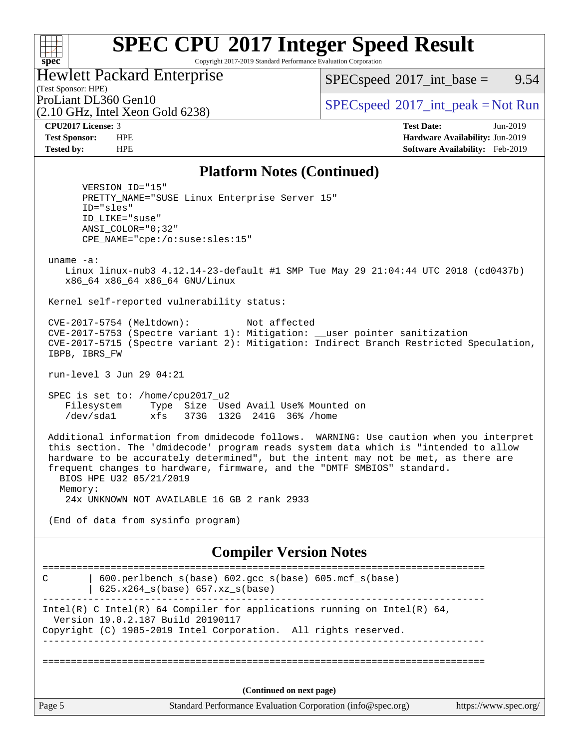Copyright 2017-2019 Standard Performance Evaluation Corporation

Hewlett Packard Enterprise

 $SPECspeed^{\circ}2017\_int\_base =$  $SPECspeed^{\circ}2017\_int\_base =$  9.54

(Test Sponsor: HPE) (2.10 GHz, Intel Xeon Gold 6238)

ProLiant DL360 Gen10  $SPECspeed^{\circ}2017\_int\_peak = Not Run$  $SPECspeed^{\circ}2017\_int\_peak = Not Run$ 

**[spec](http://www.spec.org/)**

 $+\!\!+\!\!$ 

**[CPU2017 License:](http://www.spec.org/auto/cpu2017/Docs/result-fields.html#CPU2017License)** 3 **[Test Date:](http://www.spec.org/auto/cpu2017/Docs/result-fields.html#TestDate)** Jun-2019 **[Test Sponsor:](http://www.spec.org/auto/cpu2017/Docs/result-fields.html#TestSponsor)** HPE **[Hardware Availability:](http://www.spec.org/auto/cpu2017/Docs/result-fields.html#HardwareAvailability)** Jun-2019 **[Tested by:](http://www.spec.org/auto/cpu2017/Docs/result-fields.html#Testedby)** HPE **[Software Availability:](http://www.spec.org/auto/cpu2017/Docs/result-fields.html#SoftwareAvailability)** Feb-2019

### **[Platform Notes \(Continued\)](http://www.spec.org/auto/cpu2017/Docs/result-fields.html#PlatformNotes)**

 VERSION\_ID="15" PRETTY\_NAME="SUSE Linux Enterprise Server 15" ID="sles" ID\_LIKE="suse" ANSI\_COLOR="0;32" CPE\_NAME="cpe:/o:suse:sles:15"

uname -a:

 Linux linux-nub3 4.12.14-23-default #1 SMP Tue May 29 21:04:44 UTC 2018 (cd0437b) x86\_64 x86\_64 x86\_64 GNU/Linux

Kernel self-reported vulnerability status:

 CVE-2017-5754 (Meltdown): Not affected CVE-2017-5753 (Spectre variant 1): Mitigation: \_\_user pointer sanitization CVE-2017-5715 (Spectre variant 2): Mitigation: Indirect Branch Restricted Speculation, IBPB, IBRS\_FW

run-level 3 Jun 29 04:21

 SPEC is set to: /home/cpu2017\_u2 Filesystem Type Size Used Avail Use% Mounted on /dev/sda1 xfs 373G 132G 241G 36% /home

 Additional information from dmidecode follows. WARNING: Use caution when you interpret this section. The 'dmidecode' program reads system data which is "intended to allow hardware to be accurately determined", but the intent may not be met, as there are frequent changes to hardware, firmware, and the "DMTF SMBIOS" standard. BIOS HPE U32 05/21/2019 Memory: 24x UNKNOWN NOT AVAILABLE 16 GB 2 rank 2933

(End of data from sysinfo program)

### **[Compiler Version Notes](http://www.spec.org/auto/cpu2017/Docs/result-fields.html#CompilerVersionNotes)**

Page 5 Standard Performance Evaluation Corporation [\(info@spec.org\)](mailto:info@spec.org) <https://www.spec.org/> ============================================================================== C | 600.perlbench\_s(base) 602.gcc\_s(base) 605.mcf\_s(base) | 625.x264\_s(base) 657.xz\_s(base) ------------------------------------------------------------------------------ Intel(R) C Intel(R) 64 Compiler for applications running on Intel(R)  $64$ , Version 19.0.2.187 Build 20190117 Copyright (C) 1985-2019 Intel Corporation. All rights reserved. ------------------------------------------------------------------------------ ============================================================================== **(Continued on next page)**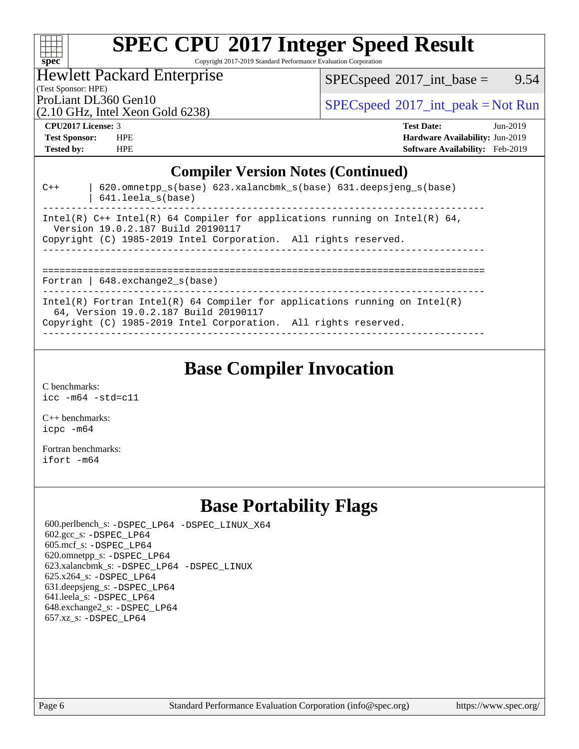

Copyright 2017-2019 Standard Performance Evaluation Corporation

Hewlett Packard Enterprise

 $SPEC speed^{\circ}2017\_int\_base =$  9.54

(Test Sponsor: HPE)

(2.10 GHz, Intel Xeon Gold 6238)

ProLiant DL360 Gen10  $SPEC speed^{\circ}2017\_int\_peak = Not Run$ 

#### **[CPU2017 License:](http://www.spec.org/auto/cpu2017/Docs/result-fields.html#CPU2017License)** 3 **[Test Date:](http://www.spec.org/auto/cpu2017/Docs/result-fields.html#TestDate)** Jun-2019

**[Test Sponsor:](http://www.spec.org/auto/cpu2017/Docs/result-fields.html#TestSponsor)** HPE **[Hardware Availability:](http://www.spec.org/auto/cpu2017/Docs/result-fields.html#HardwareAvailability)** Jun-2019 **[Tested by:](http://www.spec.org/auto/cpu2017/Docs/result-fields.html#Testedby)** HPE **[Software Availability:](http://www.spec.org/auto/cpu2017/Docs/result-fields.html#SoftwareAvailability)** Feb-2019

**[Compiler Version Notes \(Continued\)](http://www.spec.org/auto/cpu2017/Docs/result-fields.html#CompilerVersionNotes)** C++ | 620.omnetpp\_s(base) 623.xalancbmk\_s(base) 631.deepsjeng\_s(base) | 641.leela\_s(base) ------------------------------------------------------------------------------ Intel(R)  $C++$  Intel(R) 64 Compiler for applications running on Intel(R) 64, Version 19.0.2.187 Build 20190117 Copyright (C) 1985-2019 Intel Corporation. All rights reserved. ------------------------------------------------------------------------------ ============================================================================== Fortran | 648.exchange2\_s(base) Intel(R) Fortran Intel(R) 64 Compiler for applications running on Intel(R) 64, Version 19.0.2.187 Build 20190117 Copyright (C) 1985-2019 Intel Corporation. All rights reserved. ------------------------------------------------------------------------------

# **[Base Compiler Invocation](http://www.spec.org/auto/cpu2017/Docs/result-fields.html#BaseCompilerInvocation)**

[C benchmarks](http://www.spec.org/auto/cpu2017/Docs/result-fields.html#Cbenchmarks): [icc -m64 -std=c11](http://www.spec.org/cpu2017/results/res2019q4/cpu2017-20190819-16832.flags.html#user_CCbase_intel_icc_64bit_c11_33ee0cdaae7deeeab2a9725423ba97205ce30f63b9926c2519791662299b76a0318f32ddfffdc46587804de3178b4f9328c46fa7c2b0cd779d7a61945c91cd35)

[C++ benchmarks:](http://www.spec.org/auto/cpu2017/Docs/result-fields.html#CXXbenchmarks) [icpc -m64](http://www.spec.org/cpu2017/results/res2019q4/cpu2017-20190819-16832.flags.html#user_CXXbase_intel_icpc_64bit_4ecb2543ae3f1412ef961e0650ca070fec7b7afdcd6ed48761b84423119d1bf6bdf5cad15b44d48e7256388bc77273b966e5eb805aefd121eb22e9299b2ec9d9)

[Fortran benchmarks](http://www.spec.org/auto/cpu2017/Docs/result-fields.html#Fortranbenchmarks): [ifort -m64](http://www.spec.org/cpu2017/results/res2019q4/cpu2017-20190819-16832.flags.html#user_FCbase_intel_ifort_64bit_24f2bb282fbaeffd6157abe4f878425411749daecae9a33200eee2bee2fe76f3b89351d69a8130dd5949958ce389cf37ff59a95e7a40d588e8d3a57e0c3fd751)

# **[Base Portability Flags](http://www.spec.org/auto/cpu2017/Docs/result-fields.html#BasePortabilityFlags)**

 600.perlbench\_s: [-DSPEC\\_LP64](http://www.spec.org/cpu2017/results/res2019q4/cpu2017-20190819-16832.flags.html#b600.perlbench_s_basePORTABILITY_DSPEC_LP64) [-DSPEC\\_LINUX\\_X64](http://www.spec.org/cpu2017/results/res2019q4/cpu2017-20190819-16832.flags.html#b600.perlbench_s_baseCPORTABILITY_DSPEC_LINUX_X64) 602.gcc\_s: [-DSPEC\\_LP64](http://www.spec.org/cpu2017/results/res2019q4/cpu2017-20190819-16832.flags.html#suite_basePORTABILITY602_gcc_s_DSPEC_LP64) 605.mcf\_s: [-DSPEC\\_LP64](http://www.spec.org/cpu2017/results/res2019q4/cpu2017-20190819-16832.flags.html#suite_basePORTABILITY605_mcf_s_DSPEC_LP64) 620.omnetpp\_s: [-DSPEC\\_LP64](http://www.spec.org/cpu2017/results/res2019q4/cpu2017-20190819-16832.flags.html#suite_basePORTABILITY620_omnetpp_s_DSPEC_LP64) 623.xalancbmk\_s: [-DSPEC\\_LP64](http://www.spec.org/cpu2017/results/res2019q4/cpu2017-20190819-16832.flags.html#suite_basePORTABILITY623_xalancbmk_s_DSPEC_LP64) [-DSPEC\\_LINUX](http://www.spec.org/cpu2017/results/res2019q4/cpu2017-20190819-16832.flags.html#b623.xalancbmk_s_baseCXXPORTABILITY_DSPEC_LINUX) 625.x264\_s: [-DSPEC\\_LP64](http://www.spec.org/cpu2017/results/res2019q4/cpu2017-20190819-16832.flags.html#suite_basePORTABILITY625_x264_s_DSPEC_LP64) 631.deepsjeng\_s: [-DSPEC\\_LP64](http://www.spec.org/cpu2017/results/res2019q4/cpu2017-20190819-16832.flags.html#suite_basePORTABILITY631_deepsjeng_s_DSPEC_LP64) 641.leela\_s: [-DSPEC\\_LP64](http://www.spec.org/cpu2017/results/res2019q4/cpu2017-20190819-16832.flags.html#suite_basePORTABILITY641_leela_s_DSPEC_LP64) 648.exchange2\_s: [-DSPEC\\_LP64](http://www.spec.org/cpu2017/results/res2019q4/cpu2017-20190819-16832.flags.html#suite_basePORTABILITY648_exchange2_s_DSPEC_LP64) 657.xz\_s: [-DSPEC\\_LP64](http://www.spec.org/cpu2017/results/res2019q4/cpu2017-20190819-16832.flags.html#suite_basePORTABILITY657_xz_s_DSPEC_LP64)